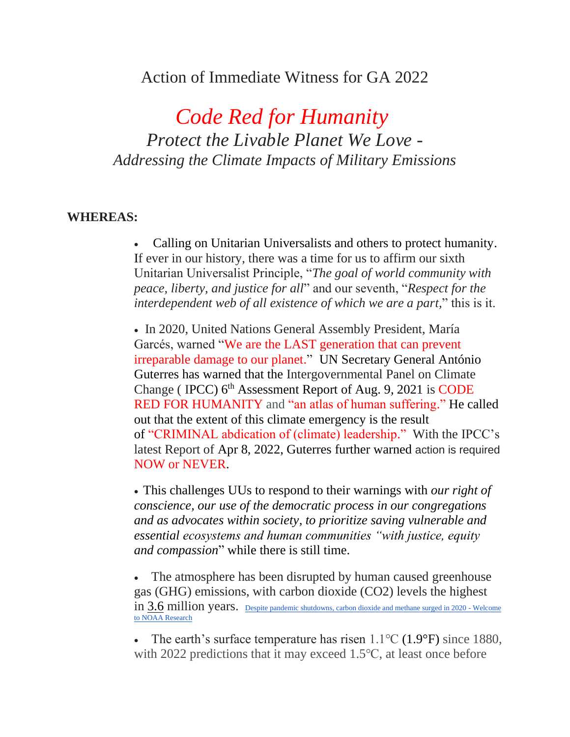# Action of Immediate Witness for GA 2022

*Code Red for Humanity Protect the Livable Planet We Love - Addressing the Climate Impacts of Military Emissions*

# **WHEREAS:**

• Calling on Unitarian Universalists and others to protect humanity. If ever in our history, there was a time for us to affirm our sixth Unitarian Universalist Principle, "*The goal of world community with peace, liberty, and justice for all*" and our seventh, "*Respect for the interdependent web of all existence of which we are a part,*" this is it.

• In 2020, United Nations General Assembly President, María Garcés, warned "We are the LAST generation that can prevent irreparable damage to our planet." UN Secretary General António Guterres has warned that the Intergovernmental Panel on Climate Change (IPCC)  $6<sup>th</sup>$  Assessment Report of Aug. 9, 2021 is CODE RED FOR HUMANITY and "an atlas of human suffering." He called out that the extent of this climate emergency is the result of "CRIMINAL abdication of (climate) leadership." With the IPCC's latest Report of Apr 8, 2022, Guterres further warned action is required NOW or NEVER.

• This challenges UUs to respond to their warnings with *our right of conscience, our use of the democratic process in our congregations and as advocates within society, to prioritize saving vulnerable and essential ecosystems and human communities "with justice, equity and compassion*" while there is still time.

The atmosphere has been disrupted by human caused greenhouse gas (GHG) emissions, with carbon dioxide (CO2) levels the highest in  $3.6$  million years. [Despite pandemic shutdowns, carbon dioxide and methane surged in 2020 -](https://research.noaa.gov/article/ArtMID/587/ArticleID/2742/Despite-pandemic-shutdowns-carbon-dioxide-and-methane-surged-in-2020) Welcome [to NOAA Research](https://research.noaa.gov/article/ArtMID/587/ArticleID/2742/Despite-pandemic-shutdowns-carbon-dioxide-and-methane-surged-in-2020)

• The earth's surface temperature has risen  $1.1^{\circ}C$  (1.9°F) since 1880, with 2022 predictions that it may exceed 1.5℃, at least once before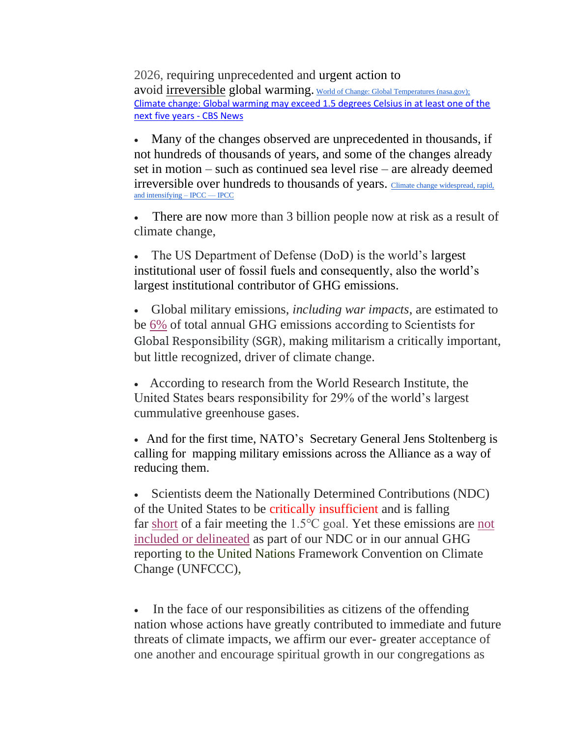2026, requiring unprecedented and urgent action to avoid [irreversible](https://www.bing.com/videos/search?q=irreversible+and+unthinkable+climate+impacts&docid=608013708359317312&mid=68D45E840C3358987D3D68D45E840C3358987D3D&view=detail&FORM=VIRE&msclkid=abc1d458b4db11ec8fc1fedb92587e56) global warming. [World of Change: Global Temperatures \(nasa.gov\);](https://earthobservatory.nasa.gov/world-of-change/decadaltemp.php?msclkid=2f11f85bc5bf11ecaadfd02288cf43af) [Climate change: Global warming may exceed 1.5 degrees Celsius in at least one of the](https://www.cbsnews.com/news/climate-change-global-warming-1-5-degrees-celsius/)  [next five years -](https://www.cbsnews.com/news/climate-change-global-warming-1-5-degrees-celsius/) CBS News

• Many of the changes observed are unprecedented in thousands, if not hundreds of thousands of years, and some of the changes already set in motion – such as continued sea level rise – are already deemed irreversible over hundreds to thousands of years. Climate change widespread, rapid, [and intensifying –](https://www.ipcc.ch/2021/08/09/ar6-wg1-20210809-pr/?msclkid=1fe0a58fc5c011ec8ba9b9f8aa1bc4a5) IPCC — IPCC

• There are now more than 3 billion people now at risk as a result of climate change,

The US Department of Defense (DoD) is the world's largest institutional user of fossil fuels and consequently, also the world's largest institutional contributor of GHG emissions.

• Global military emissions, *including war impacts*, are estimated to be [6%](https://www.sgr.org.uk/resources/carbon-boot-print-military-0?msclkid=105f21bcb50211eca9ae5a0d35f24f99) of total annual GHG emissions according to Scientists for Global Responsibility (SGR), making militarism a critically important, but little recognized, driver of climate change.

• According to research from the World Research Institute, the United States bears responsibility for 29% of the world's largest cummulative greenhouse gases.

• And for the first time, NATO's Secretary General Jens Stoltenberg is calling for mapping military emissions across the Alliance as a way of reducing them.

• Scientists deem the Nationally Determined Contributions (NDC) of the United States to be critically insufficient and is falling far [short](https://climateactiontracker.org/blog/what-do-governments-need-to-deliver-in-2022/?msclkid=d10822b2b47f11ecb281fca5bb7071bd) of a fair meeting the 1.5℃ goal. Yet these emissions are [not](https://www.popsci.com/environment/military-greenhouse-gas-emissions-data/?msclkid=e07522d8b51511ec8484a8a75f82315a)  [included or delineated](https://www.popsci.com/environment/military-greenhouse-gas-emissions-data/?msclkid=e07522d8b51511ec8484a8a75f82315a) as part of our NDC or in our annual GHG reporting to the United Nations Framework Convention on Climate Change (UNFCCC),

• In the face of our responsibilities as citizens of the offending nation whose actions have greatly contributed to immediate and future threats of climate impacts, we affirm our ever- greater acceptance of one another and encourage spiritual growth in our congregations as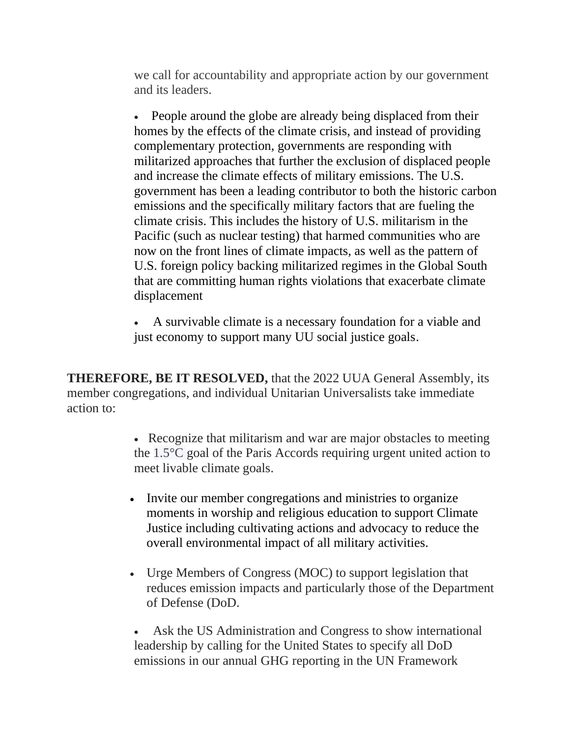we call for accountability and appropriate action by our government and its leaders.

• People around the globe are already being displaced from their homes by the effects of the climate crisis, and instead of providing complementary protection, governments are responding with militarized approaches that further the exclusion of displaced people and increase the climate effects of military emissions. The U.S. government has been a leading contributor to both the historic carbon emissions and the specifically military factors that are fueling the climate crisis. This includes the history of U.S. militarism in the Pacific (such as nuclear testing) that harmed communities who are now on the front lines of climate impacts, as well as the pattern of U.S. foreign policy backing militarized regimes in the Global South that are committing human rights violations that exacerbate climate displacement

• A survivable climate is a necessary foundation for a viable and just economy to support many UU social justice goals.

**THEREFORE, BE IT RESOLVED,** that the 2022 UUA General Assembly, its member congregations, and individual Unitarian Universalists take immediate action to:

> • Recognize that militarism and war are major obstacles to meeting the 1.5°C goal of the Paris Accords requiring urgent united action to meet livable climate goals.

- Invite our member congregations and ministries to organize moments in worship and religious education to support Climate Justice including cultivating actions and advocacy to reduce the overall environmental impact of all military activities.
- Urge Members of Congress (MOC) to support legislation that reduces emission impacts and particularly those of the Department of Defense (DoD.

Ask the US Administration and Congress to show international leadership by calling for the United States to specify all DoD emissions in our annual GHG reporting in the UN Framework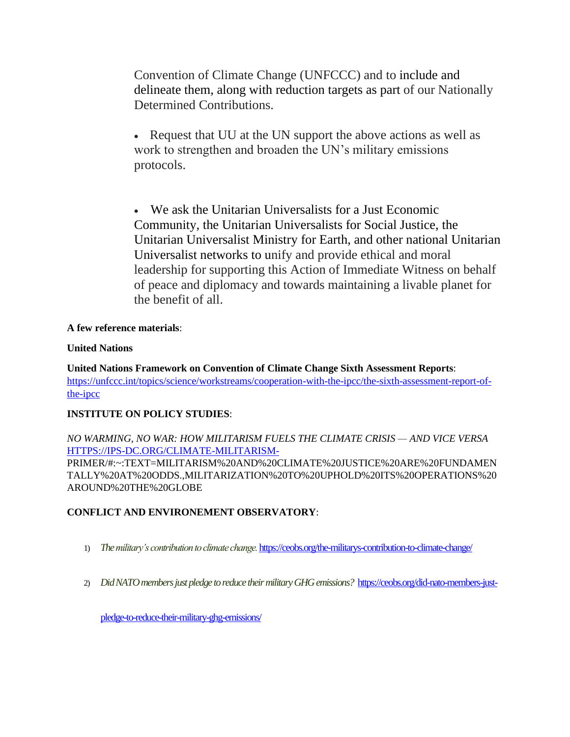Convention of Climate Change (UNFCCC) and to include and delineate them, along with reduction targets as part of our Nationally Determined Contributions.

• Request that UU at the UN support the above actions as well as work to strengthen and broaden the UN's military emissions protocols.

• We ask the Unitarian Universalists for a Just Economic Community, the Unitarian Universalists for Social Justice, the Unitarian Universalist Ministry for Earth, and other national Unitarian Universalist networks to unify and provide ethical and moral leadership for supporting this Action of Immediate Witness on behalf of peace and diplomacy and towards maintaining a livable planet for the benefit of all.

# **A few reference materials**:

## **United Nations**

**United Nations Framework on Convention of Climate Change Sixth Assessment Reports**: [https://unfccc.int/topics/science/workstreams/cooperation-with-the-ipcc/the-sixth-assessment-report-of](https://unfccc.int/topics/science/workstreams/cooperation-with-the-ipcc/the-sixth-assessment-report-of-the-ipcc)[the-ipcc](https://unfccc.int/topics/science/workstreams/cooperation-with-the-ipcc/the-sixth-assessment-report-of-the-ipcc)

# **INSTITUTE ON POLICY STUDIES**:

*NO WARMING, NO WAR: HOW MILITARISM FUELS THE CLIMATE CRISIS — AND VICE VERSA* [HTTPS://IPS-DC.ORG/CLIMATE-MILITARISM-](https://ips-dc.org/climate-militarism-)PRIMER/#:~:TEXT=MILITARISM%20AND%20CLIMATE%20JUSTICE%20ARE%20FUNDAMEN

TALLY%20AT%20ODDS.,MILITARIZATION%20TO%20UPHOLD%20ITS%20OPERATIONS%20 AROUND%20THE%20GLOBE

# **CONFLICT AND ENVIRONEMENT OBSERVATORY**:

- 1) *The military's contribution to climate change.* <https://ceobs.org/the-militarys-contribution-to-climate-change/>
- 2) *Did NATO members just pledge to reduce their military GHG emissions?* [https://ceobs.org/did-nato-members-just-](https://ceobs.org/did-nato-members-just-pledge-to-reduce-their-military-ghg-emissions/)

[pledge-to-reduce-their-military-ghg-emissions/](https://ceobs.org/did-nato-members-just-pledge-to-reduce-their-military-ghg-emissions/)